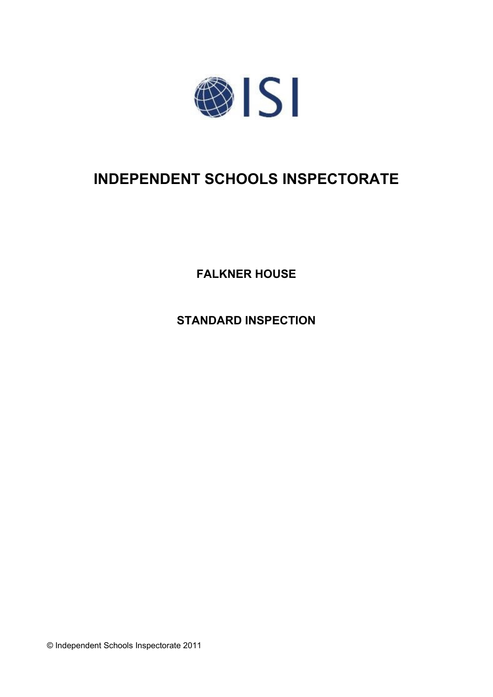

# **INDEPENDENT SCHOOLS INSPECTORATE**

**FALKNER HOUSE**

**STANDARD INSPECTION**

© Independent Schools Inspectorate 2011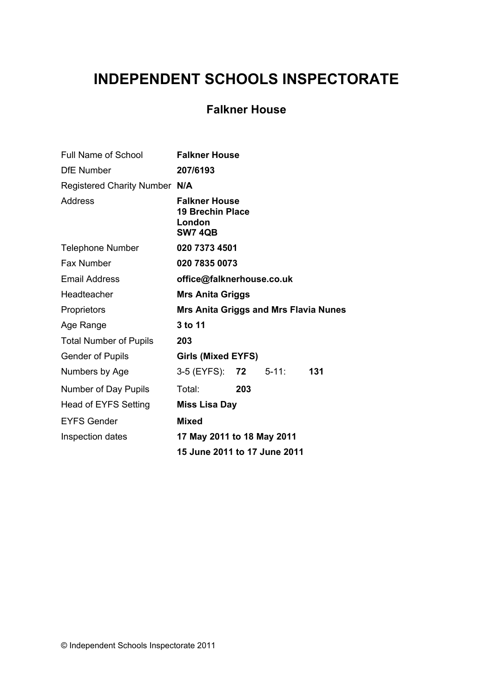# **INDEPENDENT SCHOOLS INSPECTORATE**

# **Falkner House**

| Full Name of School           | <b>Falkner House</b>                                                        |     |           |     |
|-------------------------------|-----------------------------------------------------------------------------|-----|-----------|-----|
| <b>DfE</b> Number             | 207/6193                                                                    |     |           |     |
| Registered Charity Number N/A |                                                                             |     |           |     |
| <b>Address</b>                | <b>Falkner House</b><br><b>19 Brechin Place</b><br>London<br><b>SW7 4QB</b> |     |           |     |
| <b>Telephone Number</b>       | 020 7373 4501                                                               |     |           |     |
| Fax Number                    | 020 7835 0073                                                               |     |           |     |
| <b>Email Address</b>          | office@falknerhouse.co.uk                                                   |     |           |     |
| Headteacher                   | <b>Mrs Anita Griggs</b>                                                     |     |           |     |
| Proprietors                   | <b>Mrs Anita Griggs and Mrs Flavia Nunes</b>                                |     |           |     |
| Age Range                     | 3 to 11                                                                     |     |           |     |
| <b>Total Number of Pupils</b> | 203                                                                         |     |           |     |
| <b>Gender of Pupils</b>       | Girls (Mixed EYFS)                                                          |     |           |     |
| Numbers by Age                | 3-5 (EYFS): <b>72</b>                                                       |     | $5 - 11:$ | 131 |
| Number of Day Pupils          | Total:                                                                      | 203 |           |     |
| Head of EYFS Setting          | <b>Miss Lisa Day</b>                                                        |     |           |     |
| <b>EYFS Gender</b>            | <b>Mixed</b>                                                                |     |           |     |
| Inspection dates              | 17 May 2011 to 18 May 2011                                                  |     |           |     |
|                               | 15 June 2011 to 17 June 2011                                                |     |           |     |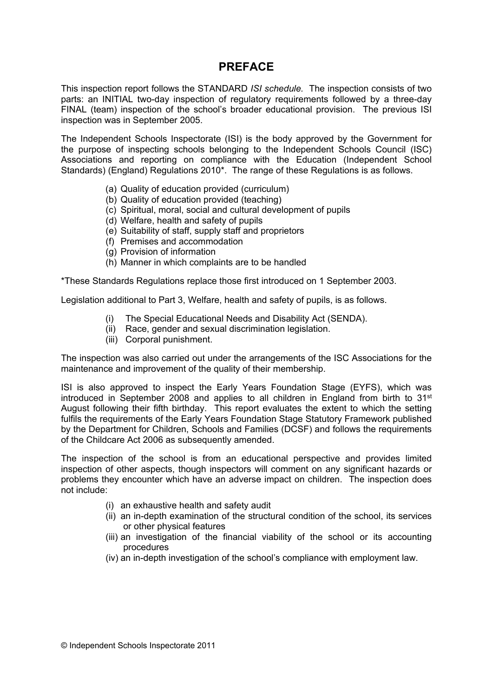## **PREFACE**

This inspection report follows the STANDARD *ISI schedule.* The inspection consists of two parts: an INITIAL two-day inspection of regulatory requirements followed by a three-day FINAL (team) inspection of the school's broader educational provision. The previous ISI inspection was in September 2005.

The Independent Schools Inspectorate (ISI) is the body approved by the Government for the purpose of inspecting schools belonging to the Independent Schools Council (ISC) Associations and reporting on compliance with the Education (Independent School Standards) (England) Regulations 2010\*. The range of these Regulations is as follows.

- (a) Quality of education provided (curriculum)
- (b) Quality of education provided (teaching)
- (c) Spiritual, moral, social and cultural development of pupils
- (d) Welfare, health and safety of pupils
- (e) Suitability of staff, supply staff and proprietors
- (f) Premises and accommodation
- (g) Provision of information
- (h) Manner in which complaints are to be handled

\*These Standards Regulations replace those first introduced on 1 September 2003.

Legislation additional to Part 3, Welfare, health and safety of pupils, is as follows.

- (i) The Special Educational Needs and Disability Act (SENDA).
- (ii) Race, gender and sexual discrimination legislation.
- (iii) Corporal punishment.

The inspection was also carried out under the arrangements of the ISC Associations for the maintenance and improvement of the quality of their membership.

ISI is also approved to inspect the Early Years Foundation Stage (EYFS), which was introduced in September 2008 and applies to all children in England from birth to 31<sup>st</sup> August following their fifth birthday. This report evaluates the extent to which the setting fulfils the requirements of the Early Years Foundation Stage Statutory Framework published by the Department for Children, Schools and Families (DCSF) and follows the requirements of the Childcare Act 2006 as subsequently amended.

The inspection of the school is from an educational perspective and provides limited inspection of other aspects, though inspectors will comment on any significant hazards or problems they encounter which have an adverse impact on children. The inspection does not include:

- (i) an exhaustive health and safety audit
- (ii) an in-depth examination of the structural condition of the school, its services or other physical features
- (iii) an investigation of the financial viability of the school or its accounting procedures
- (iv) an in-depth investigation of the school's compliance with employment law.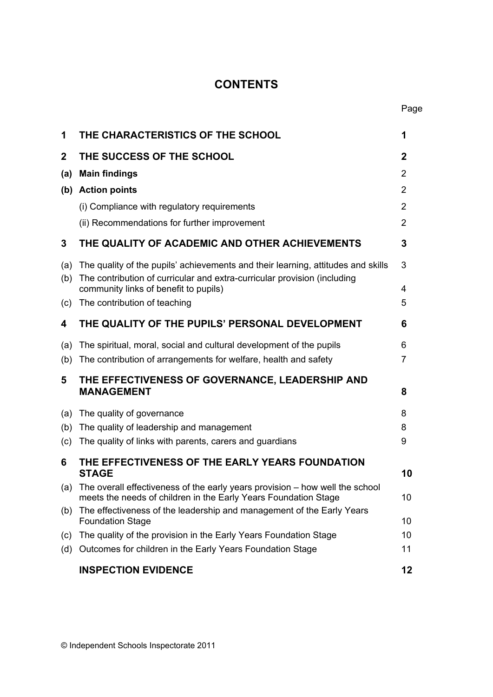# **CONTENTS**

| 1           | THE CHARACTERISTICS OF THE SCHOOL                                                                                                                            | 1            |
|-------------|--------------------------------------------------------------------------------------------------------------------------------------------------------------|--------------|
| $\mathbf 2$ | THE SUCCESS OF THE SCHOOL                                                                                                                                    | $\mathbf{2}$ |
| (a)         | <b>Main findings</b>                                                                                                                                         | 2            |
|             | (b) Action points                                                                                                                                            | 2            |
|             | (i) Compliance with regulatory requirements                                                                                                                  | 2            |
|             | (ii) Recommendations for further improvement                                                                                                                 | 2            |
| 3           | THE QUALITY OF ACADEMIC AND OTHER ACHIEVEMENTS                                                                                                               | 3            |
| (a)<br>(b)  | The quality of the pupils' achievements and their learning, attitudes and skills<br>The contribution of curricular and extra-curricular provision (including | 3            |
|             | community links of benefit to pupils)                                                                                                                        | 4            |
| (c)         | The contribution of teaching                                                                                                                                 | 5            |
| 4           | THE QUALITY OF THE PUPILS' PERSONAL DEVELOPMENT                                                                                                              | 6            |
| (a)         | The spiritual, moral, social and cultural development of the pupils                                                                                          | 6            |
| (b)         | The contribution of arrangements for welfare, health and safety                                                                                              | 7            |
| 5           | THE EFFECTIVENESS OF GOVERNANCE, LEADERSHIP AND<br><b>MANAGEMENT</b>                                                                                         | 8            |
| (a)         | The quality of governance                                                                                                                                    | 8            |
| (b)         | The quality of leadership and management                                                                                                                     | 8            |
| (c)         | The quality of links with parents, carers and guardians                                                                                                      | 9            |
| 6           | THE EFFECTIVENESS OF THE EARLY YEARS FOUNDATION<br><b>STAGE</b>                                                                                              | 10           |
|             | (a) The overall effectiveness of the early years provision – how well the school<br>meets the needs of children in the Early Years Foundation Stage          | 10           |
| (b)         | The effectiveness of the leadership and management of the Early Years<br><b>Foundation Stage</b>                                                             | 10           |
| (c)         | The quality of the provision in the Early Years Foundation Stage                                                                                             | 10           |
| (d)         | Outcomes for children in the Early Years Foundation Stage                                                                                                    | 11           |
|             | <b>INSPECTION EVIDENCE</b>                                                                                                                                   | 12           |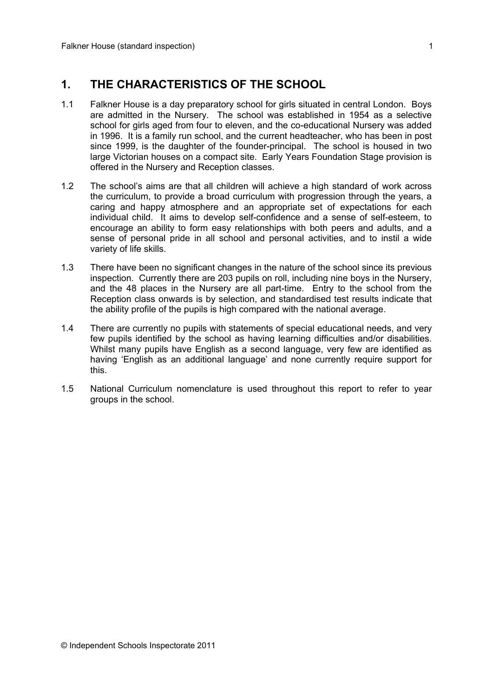## **1. THE CHARACTERISTICS OF THE SCHOOL**

- 1.1 Falkner House is a day preparatory school for girls situated in central London. Boys are admitted in the Nursery. The school was established in 1954 as a selective school for girls aged from four to eleven, and the co-educational Nursery was added in 1996. It is a family run school, and the current headteacher, who has been in post since 1999, is the daughter of the founder-principal. The school is housed in two large Victorian houses on a compact site. Early Years Foundation Stage provision is offered in the Nursery and Reception classes.
- 1.2 The school's aims are that all children will achieve a high standard of work across the curriculum, to provide a broad curriculum with progression through the years, a caring and happy atmosphere and an appropriate set of expectations for each individual child. It aims to develop self-confidence and a sense of self-esteem, to encourage an ability to form easy relationships with both peers and adults, and a sense of personal pride in all school and personal activities, and to instil a wide variety of life skills.
- 1.3 There have been no significant changes in the nature of the school since its previous inspection. Currently there are 203 pupils on roll, including nine boys in the Nursery, and the 48 places in the Nursery are all part-time. Entry to the school from the Reception class onwards is by selection, and standardised test results indicate that the ability profile of the pupils is high compared with the national average.
- 1.4 There are currently no pupils with statements of special educational needs, and very few pupils identified by the school as having learning difficulties and/or disabilities. Whilst many pupils have English as a second language, very few are identified as having 'English as an additional language' and none currently require support for this.
- 1.5 National Curriculum nomenclature is used throughout this report to refer to year groups in the school.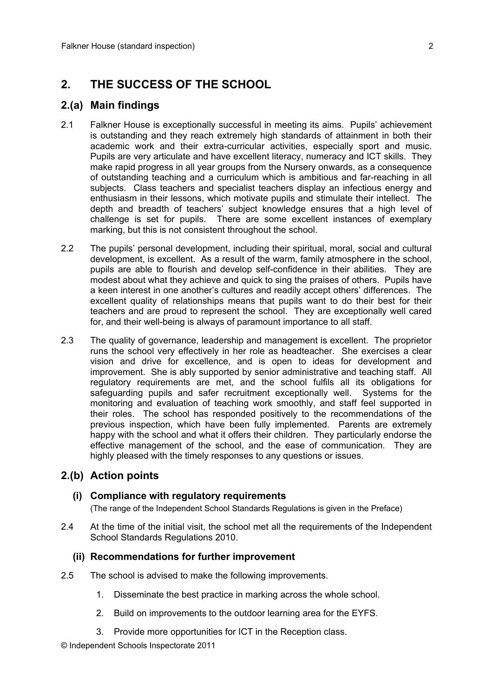# **2. THE SUCCESS OF THE SCHOOL**

## **2.(a) Main findings**

- 2.1 Falkner House is exceptionally successful in meeting its aims. Pupils' achievement is outstanding and they reach extremely high standards of attainment in both their academic work and their extra-curricular activities, especially sport and music. Pupils are very articulate and have excellent literacy, numeracy and ICT skills. They make rapid progress in all year groups from the Nursery onwards, as a consequence of outstanding teaching and a curriculum which is ambitious and far-reaching in all subjects. Class teachers and specialist teachers display an infectious energy and enthusiasm in their lessons, which motivate pupils and stimulate their intellect. The depth and breadth of teachers' subject knowledge ensures that a high level of challenge is set for pupils. There are some excellent instances of exemplary marking, but this is not consistent throughout the school.
- 2.2 The pupils' personal development, including their spiritual, moral, social and cultural development, is excellent. As a result of the warm, family atmosphere in the school, pupils are able to flourish and develop self-confidence in their abilities. They are modest about what they achieve and quick to sing the praises of others. Pupils have a keen interest in one another's cultures and readily accept others' differences. The excellent quality of relationships means that pupils want to do their best for their teachers and are proud to represent the school. They are exceptionally well cared for, and their well-being is always of paramount importance to all staff.
- 2.3 The quality of governance, leadership and management is excellent. The proprietor runs the school very effectively in her role as headteacher. She exercises a clear vision and drive for excellence, and is open to ideas for development and improvement. She is ably supported by senior administrative and teaching staff. All regulatory requirements are met, and the school fulfils all its obligations for safeguarding pupils and safer recruitment exceptionally well. Systems for the monitoring and evaluation of teaching work smoothly, and staff feel supported in their roles. The school has responded positively to the recommendations of the previous inspection, which have been fully implemented. Parents are extremely happy with the school and what it offers their children. They particularly endorse the effective management of the school, and the ease of communication. They are highly pleased with the timely responses to any questions or issues.

## **2.(b) Action points**

#### **(i) Compliance with regulatory requirements**

(The range of the Independent School Standards Regulations is given in the Preface)

2.4 At the time of the initial visit, the school met all the requirements of the Independent School Standards Regulations 2010.

#### **(ii) Recommendations for further improvement**

- 2.5 The school is advised to make the following improvements.
	- 1. Disseminate the best practice in marking across the whole school.
	- 2. Build on improvements to the outdoor learning area for the EYFS.
	- 3. Provide more opportunities for ICT in the Reception class.
- © Independent Schools Inspectorate 2011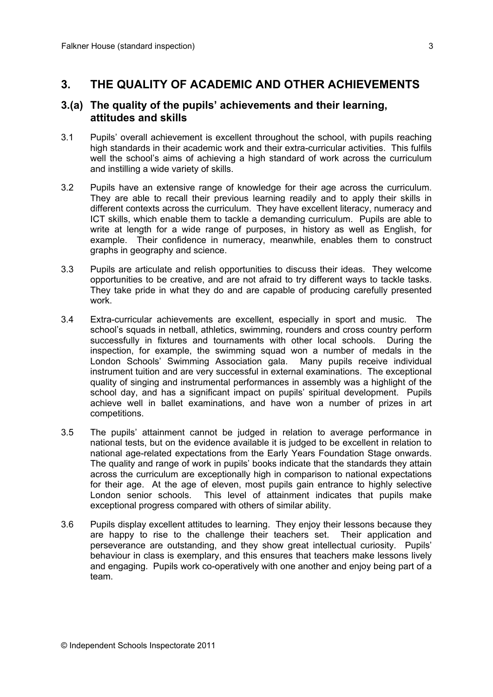## **3. THE QUALITY OF ACADEMIC AND OTHER ACHIEVEMENTS**

#### **3.(a) The quality of the pupils' achievements and their learning, attitudes and skills**

- 3.1 Pupils' overall achievement is excellent throughout the school, with pupils reaching high standards in their academic work and their extra-curricular activities. This fulfils well the school's aims of achieving a high standard of work across the curriculum and instilling a wide variety of skills.
- 3.2 Pupils have an extensive range of knowledge for their age across the curriculum. They are able to recall their previous learning readily and to apply their skills in different contexts across the curriculum. They have excellent literacy, numeracy and ICT skills, which enable them to tackle a demanding curriculum. Pupils are able to write at length for a wide range of purposes, in history as well as English, for example. Their confidence in numeracy, meanwhile, enables them to construct graphs in geography and science.
- 3.3 Pupils are articulate and relish opportunities to discuss their ideas. They welcome opportunities to be creative, and are not afraid to try different ways to tackle tasks. They take pride in what they do and are capable of producing carefully presented work.
- 3.4 Extra-curricular achievements are excellent, especially in sport and music. The school's squads in netball, athletics, swimming, rounders and cross country perform successfully in fixtures and tournaments with other local schools. During the inspection, for example, the swimming squad won a number of medals in the London Schools' Swimming Association gala. Many pupils receive individual instrument tuition and are very successful in external examinations. The exceptional quality of singing and instrumental performances in assembly was a highlight of the school day, and has a significant impact on pupils' spiritual development. Pupils achieve well in ballet examinations, and have won a number of prizes in art competitions.
- 3.5 The pupils' attainment cannot be judged in relation to average performance in national tests, but on the evidence available it is judged to be excellent in relation to national age-related expectations from the Early Years Foundation Stage onwards. The quality and range of work in pupils' books indicate that the standards they attain across the curriculum are exceptionally high in comparison to national expectations for their age. At the age of eleven, most pupils gain entrance to highly selective London senior schools. This level of attainment indicates that pupils make exceptional progress compared with others of similar ability.
- 3.6 Pupils display excellent attitudes to learning. They enjoy their lessons because they are happy to rise to the challenge their teachers set. Their application and perseverance are outstanding, and they show great intellectual curiosity. Pupils' behaviour in class is exemplary, and this ensures that teachers make lessons lively and engaging. Pupils work co-operatively with one another and enjoy being part of a team.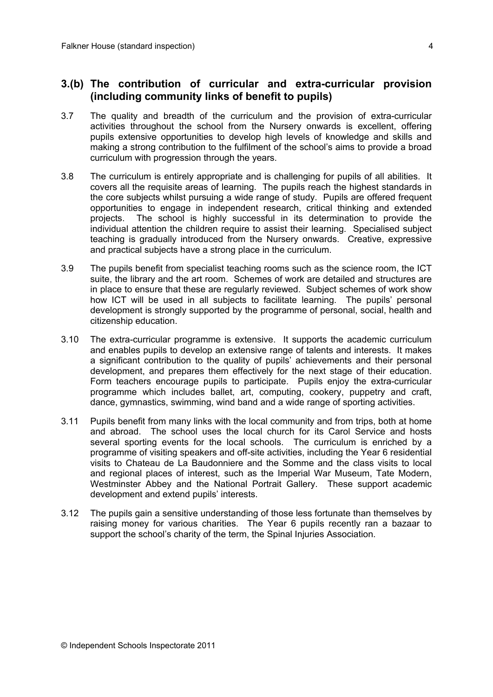#### **3.(b) The contribution of curricular and extra-curricular provision (including community links of benefit to pupils)**

- 3.7 The quality and breadth of the curriculum and the provision of extra-curricular activities throughout the school from the Nursery onwards is excellent, offering pupils extensive opportunities to develop high levels of knowledge and skills and making a strong contribution to the fulfilment of the school's aims to provide a broad curriculum with progression through the years.
- 3.8 The curriculum is entirely appropriate and is challenging for pupils of all abilities. It covers all the requisite areas of learning. The pupils reach the highest standards in the core subjects whilst pursuing a wide range of study. Pupils are offered frequent opportunities to engage in independent research, critical thinking and extended projects. The school is highly successful in its determination to provide the individual attention the children require to assist their learning. Specialised subject teaching is gradually introduced from the Nursery onwards. Creative, expressive and practical subjects have a strong place in the curriculum.
- 3.9 The pupils benefit from specialist teaching rooms such as the science room, the ICT suite, the library and the art room. Schemes of work are detailed and structures are in place to ensure that these are regularly reviewed. Subject schemes of work show how ICT will be used in all subjects to facilitate learning. The pupils' personal development is strongly supported by the programme of personal, social, health and citizenship education.
- 3.10 The extra-curricular programme is extensive. It supports the academic curriculum and enables pupils to develop an extensive range of talents and interests. It makes a significant contribution to the quality of pupils' achievements and their personal development, and prepares them effectively for the next stage of their education. Form teachers encourage pupils to participate. Pupils enjoy the extra-curricular programme which includes ballet, art, computing, cookery, puppetry and craft, dance, gymnastics, swimming, wind band and a wide range of sporting activities.
- 3.11 Pupils benefit from many links with the local community and from trips, both at home and abroad. The school uses the local church for its Carol Service and hosts several sporting events for the local schools. The curriculum is enriched by a programme of visiting speakers and off-site activities, including the Year 6 residential visits to Chateau de La Baudonniere and the Somme and the class visits to local and regional places of interest, such as the Imperial War Museum, Tate Modern, Westminster Abbey and the National Portrait Gallery. These support academic development and extend pupils' interests.
- 3.12 The pupils gain a sensitive understanding of those less fortunate than themselves by raising money for various charities. The Year 6 pupils recently ran a bazaar to support the school's charity of the term, the Spinal Injuries Association.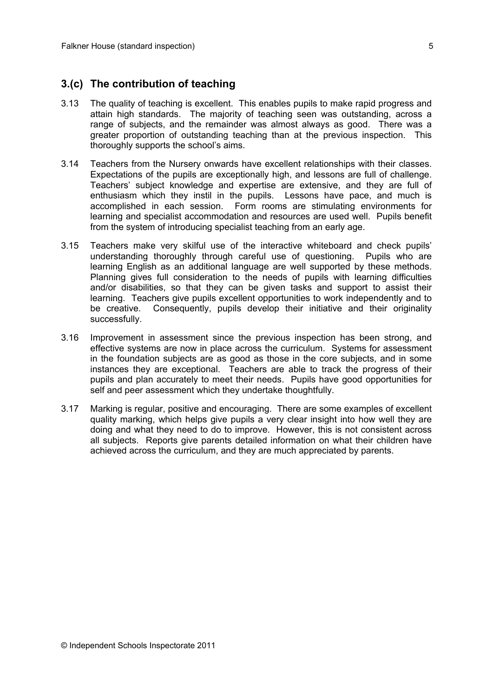## **3.(c) The contribution of teaching**

- 3.13 The quality of teaching is excellent. This enables pupils to make rapid progress and attain high standards. The majority of teaching seen was outstanding, across a range of subjects, and the remainder was almost always as good. There was a greater proportion of outstanding teaching than at the previous inspection. This thoroughly supports the school's aims.
- 3.14 Teachers from the Nursery onwards have excellent relationships with their classes. Expectations of the pupils are exceptionally high, and lessons are full of challenge. Teachers' subject knowledge and expertise are extensive, and they are full of enthusiasm which they instil in the pupils. Lessons have pace, and much is accomplished in each session. Form rooms are stimulating environments for learning and specialist accommodation and resources are used well. Pupils benefit from the system of introducing specialist teaching from an early age.
- 3.15 Teachers make very skilful use of the interactive whiteboard and check pupils' understanding thoroughly through careful use of questioning. Pupils who are learning English as an additional language are well supported by these methods. Planning gives full consideration to the needs of pupils with learning difficulties and/or disabilities, so that they can be given tasks and support to assist their learning. Teachers give pupils excellent opportunities to work independently and to be creative. Consequently, pupils develop their initiative and their originality successfully.
- 3.16 Improvement in assessment since the previous inspection has been strong, and effective systems are now in place across the curriculum. Systems for assessment in the foundation subjects are as good as those in the core subjects, and in some instances they are exceptional. Teachers are able to track the progress of their pupils and plan accurately to meet their needs. Pupils have good opportunities for self and peer assessment which they undertake thoughtfully.
- 3.17 Marking is regular, positive and encouraging. There are some examples of excellent quality marking, which helps give pupils a very clear insight into how well they are doing and what they need to do to improve. However, this is not consistent across all subjects. Reports give parents detailed information on what their children have achieved across the curriculum, and they are much appreciated by parents.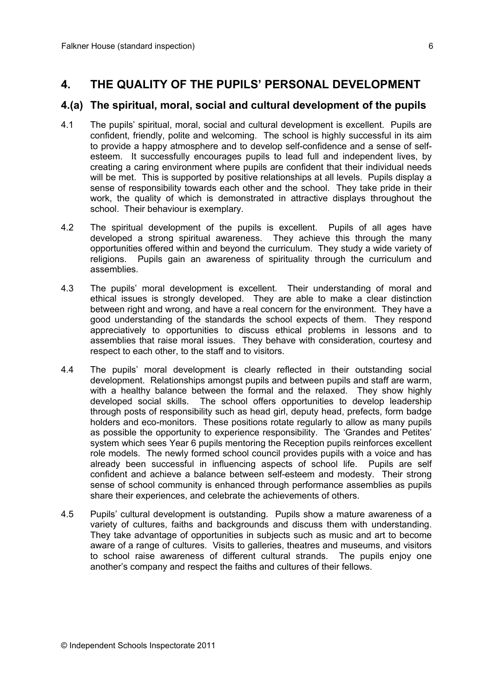## **4. THE QUALITY OF THE PUPILS' PERSONAL DEVELOPMENT**

#### **4.(a) The spiritual, moral, social and cultural development of the pupils**

- 4.1 The pupils' spiritual, moral, social and cultural development is excellent. Pupils are confident, friendly, polite and welcoming. The school is highly successful in its aim to provide a happy atmosphere and to develop self-confidence and a sense of selfesteem. It successfully encourages pupils to lead full and independent lives, by creating a caring environment where pupils are confident that their individual needs will be met. This is supported by positive relationships at all levels. Pupils display a sense of responsibility towards each other and the school. They take pride in their work, the quality of which is demonstrated in attractive displays throughout the school. Their behaviour is exemplary.
- 4.2 The spiritual development of the pupils is excellent. Pupils of all ages have developed a strong spiritual awareness. They achieve this through the many opportunities offered within and beyond the curriculum. They study a wide variety of religions. Pupils gain an awareness of spirituality through the curriculum and assemblies.
- 4.3 The pupils' moral development is excellent. Their understanding of moral and ethical issues is strongly developed. They are able to make a clear distinction between right and wrong, and have a real concern for the environment. They have a good understanding of the standards the school expects of them. They respond appreciatively to opportunities to discuss ethical problems in lessons and to assemblies that raise moral issues. They behave with consideration, courtesy and respect to each other, to the staff and to visitors.
- 4.4 The pupils' moral development is clearly reflected in their outstanding social development. Relationships amongst pupils and between pupils and staff are warm, with a healthy balance between the formal and the relaxed. They show highly developed social skills. The school offers opportunities to develop leadership through posts of responsibility such as head girl, deputy head, prefects, form badge holders and eco-monitors. These positions rotate regularly to allow as many pupils as possible the opportunity to experience responsibility. The 'Grandes and Petites' system which sees Year 6 pupils mentoring the Reception pupils reinforces excellent role models. The newly formed school council provides pupils with a voice and has already been successful in influencing aspects of school life. Pupils are self confident and achieve a balance between self-esteem and modesty. Their strong sense of school community is enhanced through performance assemblies as pupils share their experiences, and celebrate the achievements of others.
- 4.5 Pupils' cultural development is outstanding. Pupils show a mature awareness of a variety of cultures, faiths and backgrounds and discuss them with understanding. They take advantage of opportunities in subjects such as music and art to become aware of a range of cultures. Visits to galleries, theatres and museums, and visitors to school raise awareness of different cultural strands. The pupils enjoy one another's company and respect the faiths and cultures of their fellows.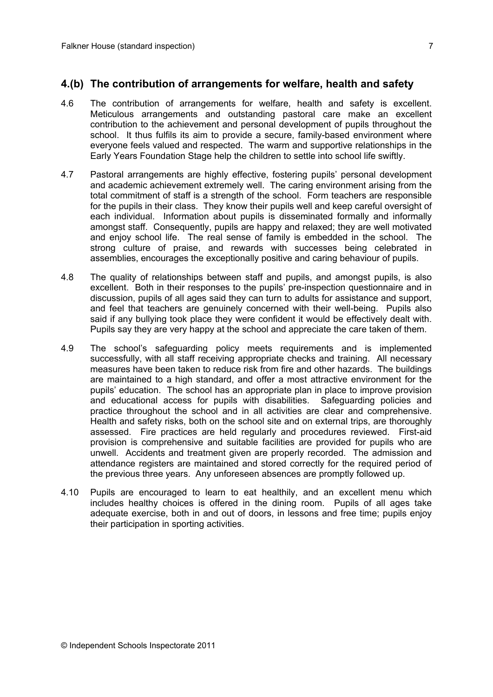## **4.(b) The contribution of arrangements for welfare, health and safety**

- 4.6 The contribution of arrangements for welfare, health and safety is excellent. Meticulous arrangements and outstanding pastoral care make an excellent contribution to the achievement and personal development of pupils throughout the school. It thus fulfils its aim to provide a secure, family-based environment where everyone feels valued and respected. The warm and supportive relationships in the Early Years Foundation Stage help the children to settle into school life swiftly.
- 4.7 Pastoral arrangements are highly effective, fostering pupils' personal development and academic achievement extremely well. The caring environment arising from the total commitment of staff is a strength of the school. Form teachers are responsible for the pupils in their class. They know their pupils well and keep careful oversight of each individual. Information about pupils is disseminated formally and informally amongst staff. Consequently, pupils are happy and relaxed; they are well motivated and enjoy school life. The real sense of family is embedded in the school. The strong culture of praise, and rewards with successes being celebrated in assemblies, encourages the exceptionally positive and caring behaviour of pupils.
- 4.8 The quality of relationships between staff and pupils, and amongst pupils, is also excellent. Both in their responses to the pupils' pre-inspection questionnaire and in discussion, pupils of all ages said they can turn to adults for assistance and support, and feel that teachers are genuinely concerned with their well-being. Pupils also said if any bullying took place they were confident it would be effectively dealt with. Pupils say they are very happy at the school and appreciate the care taken of them.
- 4.9 The school's safeguarding policy meets requirements and is implemented successfully, with all staff receiving appropriate checks and training. All necessary measures have been taken to reduce risk from fire and other hazards. The buildings are maintained to a high standard, and offer a most attractive environment for the pupils' education. The school has an appropriate plan in place to improve provision and educational access for pupils with disabilities. Safeguarding policies and practice throughout the school and in all activities are clear and comprehensive. Health and safety risks, both on the school site and on external trips, are thoroughly assessed. Fire practices are held regularly and procedures reviewed. First-aid provision is comprehensive and suitable facilities are provided for pupils who are unwell. Accidents and treatment given are properly recorded. The admission and attendance registers are maintained and stored correctly for the required period of the previous three years. Any unforeseen absences are promptly followed up.
- 4.10 Pupils are encouraged to learn to eat healthily, and an excellent menu which includes healthy choices is offered in the dining room. Pupils of all ages take adequate exercise, both in and out of doors, in lessons and free time; pupils enjoy their participation in sporting activities.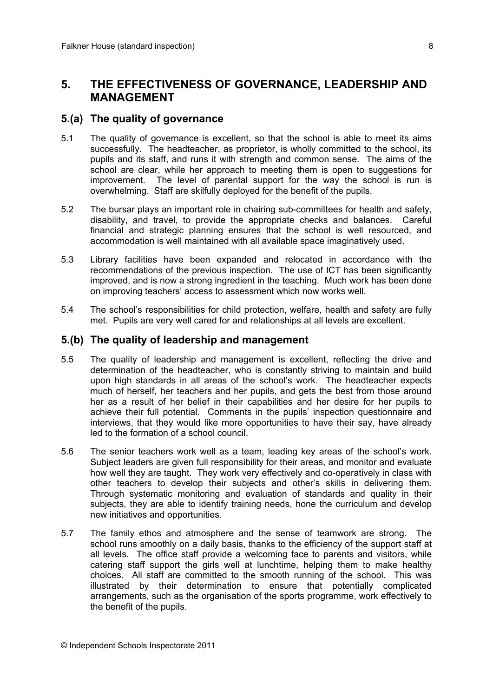## **5. THE EFFECTIVENESS OF GOVERNANCE, LEADERSHIP AND MANAGEMENT**

#### **5.(a) The quality of governance**

- 5.1 The quality of governance is excellent, so that the school is able to meet its aims successfully. The headteacher, as proprietor, is wholly committed to the school, its pupils and its staff, and runs it with strength and common sense. The aims of the school are clear, while her approach to meeting them is open to suggestions for improvement. The level of parental support for the way the school is run is overwhelming. Staff are skilfully deployed for the benefit of the pupils.
- 5.2 The bursar plays an important role in chairing sub-committees for health and safety, disability, and travel, to provide the appropriate checks and balances. Careful financial and strategic planning ensures that the school is well resourced, and accommodation is well maintained with all available space imaginatively used.
- 5.3 Library facilities have been expanded and relocated in accordance with the recommendations of the previous inspection. The use of ICT has been significantly improved, and is now a strong ingredient in the teaching. Much work has been done on improving teachers' access to assessment which now works well.
- 5.4 The school's responsibilities for child protection, welfare, health and safety are fully met. Pupils are very well cared for and relationships at all levels are excellent.

#### **5.(b) The quality of leadership and management**

- 5.5 The quality of leadership and management is excellent, reflecting the drive and determination of the headteacher, who is constantly striving to maintain and build upon high standards in all areas of the school's work. The headteacher expects much of herself, her teachers and her pupils, and gets the best from those around her as a result of her belief in their capabilities and her desire for her pupils to achieve their full potential. Comments in the pupils' inspection questionnaire and interviews, that they would like more opportunities to have their say, have already led to the formation of a school council.
- 5.6 The senior teachers work well as a team, leading key areas of the school's work. Subject leaders are given full responsibility for their areas, and monitor and evaluate how well they are taught. They work very effectively and co-operatively in class with other teachers to develop their subjects and other's skills in delivering them. Through systematic monitoring and evaluation of standards and quality in their subjects, they are able to identify training needs, hone the curriculum and develop new initiatives and opportunities.
- 5.7 The family ethos and atmosphere and the sense of teamwork are strong. The school runs smoothly on a daily basis, thanks to the efficiency of the support staff at all levels. The office staff provide a welcoming face to parents and visitors, while catering staff support the girls well at lunchtime, helping them to make healthy choices. All staff are committed to the smooth running of the school. This was illustrated by their determination to ensure that potentially complicated arrangements, such as the organisation of the sports programme, work effectively to the benefit of the pupils.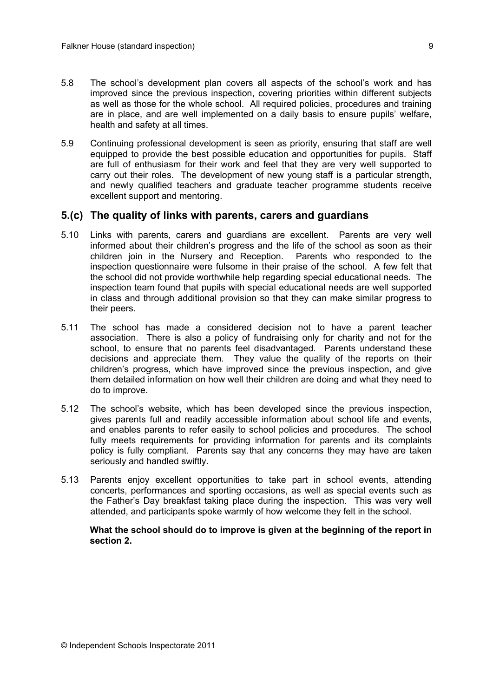- 5.8 The school's development plan covers all aspects of the school's work and has improved since the previous inspection, covering priorities within different subjects as well as those for the whole school. All required policies, procedures and training are in place, and are well implemented on a daily basis to ensure pupils' welfare, health and safety at all times.
- 5.9 Continuing professional development is seen as priority, ensuring that staff are well equipped to provide the best possible education and opportunities for pupils. Staff are full of enthusiasm for their work and feel that they are very well supported to carry out their roles. The development of new young staff is a particular strength, and newly qualified teachers and graduate teacher programme students receive excellent support and mentoring.

#### **5.(c) The quality of links with parents, carers and guardians**

- 5.10 Links with parents, carers and guardians are excellent. Parents are very well informed about their children's progress and the life of the school as soon as their children join in the Nursery and Reception. Parents who responded to the inspection questionnaire were fulsome in their praise of the school. A few felt that the school did not provide worthwhile help regarding special educational needs. The inspection team found that pupils with special educational needs are well supported in class and through additional provision so that they can make similar progress to their peers.
- 5.11 The school has made a considered decision not to have a parent teacher association. There is also a policy of fundraising only for charity and not for the school, to ensure that no parents feel disadvantaged. Parents understand these decisions and appreciate them. They value the quality of the reports on their children's progress, which have improved since the previous inspection, and give them detailed information on how well their children are doing and what they need to do to improve.
- 5.12 The school's website, which has been developed since the previous inspection, gives parents full and readily accessible information about school life and events, and enables parents to refer easily to school policies and procedures. The school fully meets requirements for providing information for parents and its complaints policy is fully compliant. Parents say that any concerns they may have are taken seriously and handled swiftly.
- 5.13 Parents enjoy excellent opportunities to take part in school events, attending concerts, performances and sporting occasions, as well as special events such as the Father's Day breakfast taking place during the inspection. This was very well attended, and participants spoke warmly of how welcome they felt in the school.

**What the school should do to improve is given at the beginning of the report in section 2.**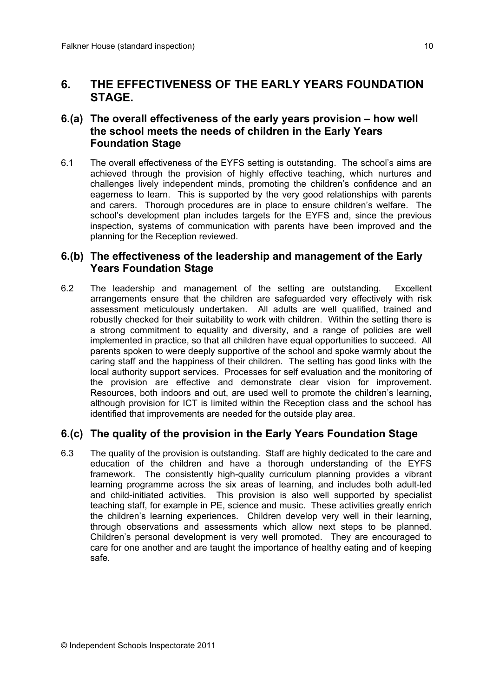## **6. THE EFFECTIVENESS OF THE EARLY YEARS FOUNDATION STAGE.**

## **6.(a) The overall effectiveness of the early years provision – how well the school meets the needs of children in the Early Years Foundation Stage**

6.1 The overall effectiveness of the EYFS setting is outstanding. The school's aims are achieved through the provision of highly effective teaching, which nurtures and challenges lively independent minds, promoting the children's confidence and an eagerness to learn. This is supported by the very good relationships with parents and carers. Thorough procedures are in place to ensure children's welfare. The school's development plan includes targets for the EYFS and, since the previous inspection, systems of communication with parents have been improved and the planning for the Reception reviewed.

## **6.(b) The effectiveness of the leadership and management of the Early Years Foundation Stage**

6.2 The leadership and management of the setting are outstanding. Excellent arrangements ensure that the children are safeguarded very effectively with risk assessment meticulously undertaken. All adults are well qualified, trained and robustly checked for their suitability to work with children. Within the setting there is a strong commitment to equality and diversity, and a range of policies are well implemented in practice, so that all children have equal opportunities to succeed. All parents spoken to were deeply supportive of the school and spoke warmly about the caring staff and the happiness of their children. The setting has good links with the local authority support services. Processes for self evaluation and the monitoring of the provision are effective and demonstrate clear vision for improvement. Resources, both indoors and out, are used well to promote the children's learning, although provision for ICT is limited within the Reception class and the school has identified that improvements are needed for the outside play area.

## **6.(c) The quality of the provision in the Early Years Foundation Stage**

6.3 The quality of the provision is outstanding. Staff are highly dedicated to the care and education of the children and have a thorough understanding of the EYFS framework. The consistently high-quality curriculum planning provides a vibrant learning programme across the six areas of learning, and includes both adult-led and child-initiated activities. This provision is also well supported by specialist teaching staff, for example in PE, science and music. These activities greatly enrich the children's learning experiences. Children develop very well in their learning, through observations and assessments which allow next steps to be planned. Children's personal development is very well promoted. They are encouraged to care for one another and are taught the importance of healthy eating and of keeping safe.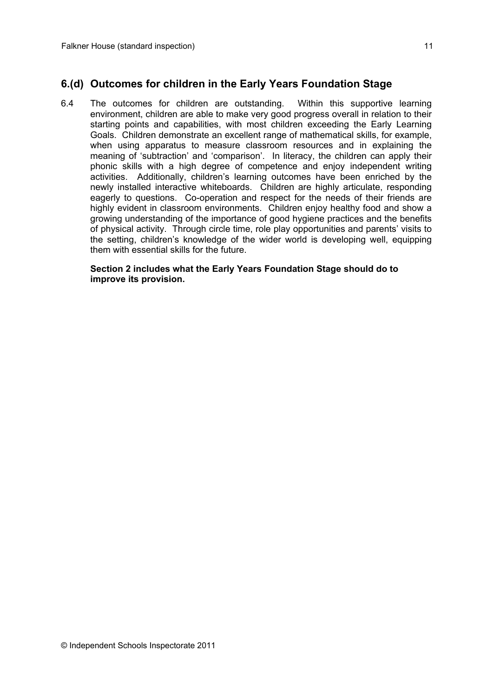## **6.(d) Outcomes for children in the Early Years Foundation Stage**

6.4 The outcomes for children are outstanding. Within this supportive learning environment, children are able to make very good progress overall in relation to their starting points and capabilities, with most children exceeding the Early Learning Goals. Children demonstrate an excellent range of mathematical skills, for example, when using apparatus to measure classroom resources and in explaining the meaning of 'subtraction' and 'comparison'. In literacy, the children can apply their phonic skills with a high degree of competence and enjoy independent writing activities. Additionally, children's learning outcomes have been enriched by the newly installed interactive whiteboards. Children are highly articulate, responding eagerly to questions. Co-operation and respect for the needs of their friends are highly evident in classroom environments. Children enjoy healthy food and show a growing understanding of the importance of good hygiene practices and the benefits of physical activity. Through circle time, role play opportunities and parents' visits to the setting, children's knowledge of the wider world is developing well, equipping them with essential skills for the future.

#### **Section 2 includes what the Early Years Foundation Stage should do to improve its provision.**